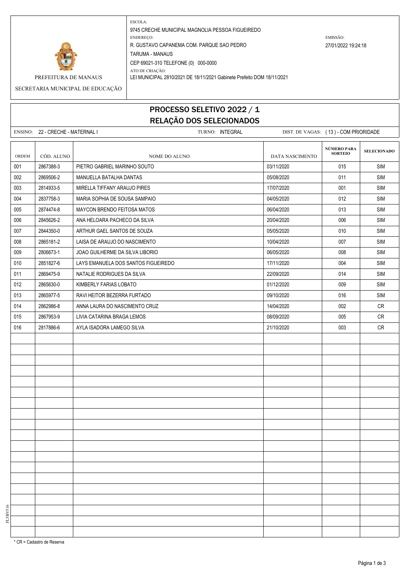

ESCOLA: 9745 CRECHE MUNICIPAL MAGNOLIA PESSOA FIGUEIREDO ENDEREÇO: EMISSÃO: R. GUSTAVO CAPANEMA COM. PARQUE SAO PEDRO 27/01/2022 19:24:18 TARUMA - MANAUS CEP 69021-310 TELEFONE (0) 000-0000 ATO DE CRIAÇÃO:

PREFEITURA DE MANAUS LEI MUNICIPAL 2810/2021 DE 18/11/2021 Gabinete Prefeito DOM 18/11/2021

SECRETARIA MUNICIPAL DE EDUCAÇÃO

## PROCESSO SELETIVO 2022 / 1 RELAÇÃO DOS SELECIONADOS

ENSINO: 22 - CRECHE - MATERNAL I CHARL TURNO: INTEGRAL DIST. DE VAGAS: (13) - COM PRIORIDADE **SELECIONADO** ORDEM CÓD. ALUNO NOME DO ALUNO NOME DO ALUNO DATA NASCIMENTO 001 2867388-3 PIETRO GABRIEL MARINHO SOUTO 03/11/2020 015 SIM 002 2869506-2 MANUELLA BATALHA DANTAS 05/08/2020 011 SIM 003 2814933-5 MIRELLA TIFFANY ARAUJO PIRES 17/07/2020 001 SIM 004 2837758-3 MARIA SOPHIA DE SOUSA SAMPAIO 04/05/2020 012 SIM 005 2874474-8 MAYCON BRENDO FEITOSA MATOS 06/04/2020 SIM 006 2845626-2 ANA HELOARA PACHECO DA SILVA 20/04/2020 006 SIM 007 2844350-0 ARTHUR GAEL SANTOS DE SOUZA 05/05/2020 010 SIM 008 2865181-2 LAISA DE ARAUJO DO NASCIMENTO 1000 1000 10004/2020 10/04/2020 1007 SIM 009 2806673-1 JOAO GUILHERME DA SILVA LIBORIO 06/05/2020 008 SIM 010 2851827-6 LAYS EMANUELA DOS SANTOS FIGUEIREDO 1999 11/11/2020 1999 17/11/2020 17/11/2020 17/2020 17/2020 17 011 2869475-9 NATALIE RODRIGUES DA SILVA 22 2009/2020 22/09/2020 2369475-9 NATALIE RODRIGUES DA SILVA 012 2865630-0 KIMBERLY FARIAS LOBATO 01/12/2020 009 SIM 013 2865977-5 RAVI HEITOR BEZERRA FURTADO 09/10/2020 016 SIM 014 2862986-8 ANNA LAURA DO NASCIMENTO CRUZ 14/04/2020 002 CR 015 2867953-9 LIVIA CATARINA BRAGA LEMOS 08/09/2020 005 CR 016 2817886-6 AYLA ISADORA LAMEGO SILVA 21/10/2020 20 21/10/2020 20 003 CR **NÚMERO PARA SORTEIO**

\* CR = Cadastro de Reserva

FL5BV516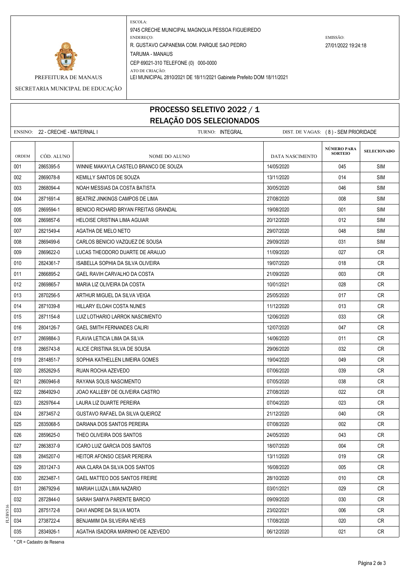

ESCOLA: 9745 CRECHE MUNICIPAL MAGNOLIA PESSOA FIGUEIREDO ENDEREÇO: EMISSÃO: R. GUSTAVO CAPANEMA COM. PARQUE SAO PEDRO 27/01/2022 19:24:18 TARUMA - MANAUS CEP 69021-310 TELEFONE (0) 000-0000 ATO DE CRIAÇÃO:

PREFEITURA DE MANAUS LEI MUNICIPAL 2810/2021 DE 18/11/2021 Gabinete Prefeito DOM 18/11/2021

## SECRETARIA MUNICIPAL DE EDUCAÇÃO

## PROCESSO SELETIVO 2022 / 1 RELAÇÃO DOS SELECIONADOS

|       | ENSINO: 22 - CRECHE - MATERNAL I | TURNO: INTEGRAL                        |                 |                                      | DIST. DE VAGAS: (8) - SEM PRIORIDADE |  |
|-------|----------------------------------|----------------------------------------|-----------------|--------------------------------------|--------------------------------------|--|
| ORDEM | CÓD. ALUNO                       | <b>NOME DO ALUNO</b>                   | DATA NASCIMENTO | <b>NÚMERO PARA</b><br><b>SORTEIO</b> | <b>SELECIONADO</b>                   |  |
| 001   | 2865395-5                        | WINNIE MAKAYLA CASTELO BRANCO DE SOUZA | 14/05/2020      | 045                                  | <b>SIM</b>                           |  |
| 002   | 2869078-8                        | KEMILLY SANTOS DE SOUZA                | 13/11/2020      | 014                                  | <b>SIM</b>                           |  |
| 003   | 2868094-4                        | NOAH MESSIAS DA COSTA BATISTA          | 30/05/2020      | 046                                  | <b>SIM</b>                           |  |
| 004   | 2871691-4                        | BEATRIZ JINKINGS CAMPOS DE LIMA        | 27/08/2020      | 008                                  | <b>SIM</b>                           |  |
| 005   | 2869594-1                        | BENICIO RICHARD BRYAN FREITAS GRANDAL  | 19/08/2020      | 001                                  | <b>SIM</b>                           |  |
| 006   | 2869857-6                        | HELOISE CRISTINA LIMA AGUIAR           | 20/12/2020      | 012                                  | <b>SIM</b>                           |  |
| 007   | 2821549-4                        | AGATHA DE MELO NETO                    | 29/07/2020      | 048                                  | <b>SIM</b>                           |  |
| 008   | 2869499-6                        | CARLOS BENICIO VAZQUEZ DE SOUSA        | 29/09/2020      | 031                                  | <b>SIM</b>                           |  |
| 009   | 2869622-0                        | LUCAS THEODORO DUARTE DE ARAUJO        | 11/09/2020      | 027                                  | CR                                   |  |
| 010   | 2824361-7                        | ISABELLA SOPHIA DA SILVA OLIVEIRA      | 19/07/2020      | 018                                  | CR                                   |  |
| 011   | 2866895-2                        | GAEL RAVIH CARVALHO DA COSTA           | 21/09/2020      | 003                                  | CR                                   |  |
| 012   | 2869865-7                        | MARIA LIZ OLIVEIRA DA COSTA            | 10/01/2021      | 028                                  | <b>CR</b>                            |  |
| 013   | 2870256-5                        | ARTHUR MIGUEL DA SILVA VEIGA           | 25/05/2020      | 017                                  | <b>CR</b>                            |  |
| 014   | 2871039-8                        | HILLARY ELOAH COSTA NUNES              | 11/12/2020      | 013                                  | <b>CR</b>                            |  |
| 015   | 2871154-8                        | LUIZ LOTHARIO LARROK NASCIMENTO        | 12/06/2020      | 033                                  | CR                                   |  |
| 016   | 2804126-7                        | <b>GAEL SMITH FERNANDES CALIRI</b>     | 12/07/2020      | 047                                  | CR                                   |  |
| 017   | 2869884-3                        | FLAVIA LETICIA LIMA DA SILVA           | 14/06/2020      | 011                                  | CR                                   |  |
| 018   | 2865743-8                        | ALICE CRISTINA SILVA DE SOUSA          | 29/06/2020      | 032                                  | <b>CR</b>                            |  |
| 019   | 2814851-7                        | SOPHIA KATHELLEN LIMEIRA GOMES         | 19/04/2020      | 049                                  | CR                                   |  |
| 020   | 2852629-5                        | RUAN ROCHA AZEVEDO                     | 07/06/2020      | 039                                  | <b>CR</b>                            |  |
| 021   | 2860946-8                        | RAYANA SOLIS NASCIMENTO                | 07/05/2020      | 038                                  | CR                                   |  |
| 022   | 2864929-0                        | JOAO KALLEBY DE OLIVEIRA CASTRO        | 27/08/2020      | 022                                  | CR                                   |  |
| 023   | 2829764-4                        | LAURA LIZ DUARTE PEREIRA               | 07/04/2020      | 023                                  | <b>CR</b>                            |  |
| 024   | 2873457-2                        | GUSTAVO RAFAEL DA SILVA QUEIROZ        | 21/12/2020      | 040                                  | CR                                   |  |
| 025   | 2835068-5                        | DARIANA DOS SANTOS PEREIRA             | 07/08/2020      | 002                                  | <b>CR</b>                            |  |
| 026   | 2859625-0                        | THEO OLIVEIRA DOS SANTOS               | 24/05/2020      | 043                                  | CR                                   |  |
| 027   | 2863837-9                        | ICARO LUIZ GARCIA DOS SANTOS           | 18/07/2020      | 004                                  | CR                                   |  |
| 028   | 2845207-0                        | HEITOR AFONSO CESAR PEREIRA            | 13/11/2020      | 019                                  | <b>CR</b>                            |  |
| 029   | 2831247-3                        | ANA CLARA DA SILVA DOS SANTOS          | 16/08/2020      | 005                                  | CR                                   |  |
| 030   | 2823487-1                        | GAEL MATTEO DOS SANTOS FREIRE          | 28/10/2020      | 010                                  | <b>CR</b>                            |  |
| 031   | 2867929-6                        | MARIAH LUIZA LIMA NAZARIO              | 03/01/2021      | 029                                  | CR                                   |  |
| 032   | 2872844-0                        | SARAH SAMYA PARENTE BARCIO             | 09/09/2020      | 030                                  | CR                                   |  |
| 033   | 2875172-8                        | DAVI ANDRE DA SILVA MOTA               | 23/02/2021      | 006                                  | <b>CR</b>                            |  |
| 034   | 2738722-4                        | BENJAMIM DA SILVEIRA NEVES             | 17/08/2020      | 020                                  | CR                                   |  |

 FL5BV516 2834926-1 AGATHA ISADORA MARINHO DE AZEVEDO 06/12/2020 021 CR

\* CR = Cadastro de Reserva